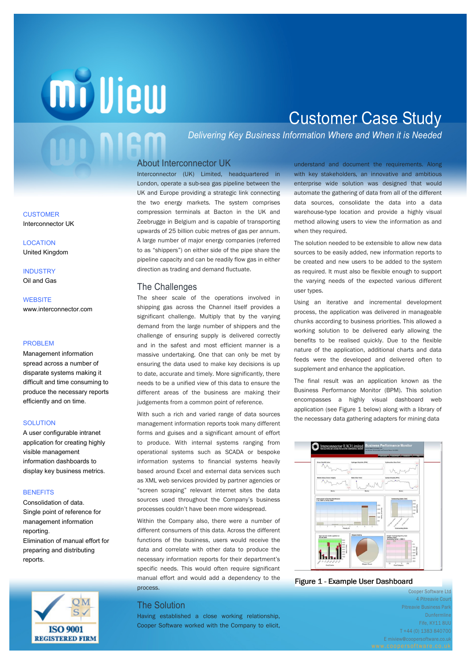## **milliew**

## Customer Case Study

*Delivering Key Business Information Where and When it is Needed*

#### About Interconnector UK

Interconnector (UK) Limited, headquartered in London, operate a sub-sea gas pipeline between the UK and Europe providing a strategic link connecting the two energy markets. The system comprises compression terminals at Bacton in the UK and Zeebrugge in Belgium and is capable of transporting upwards of 25 billion cubic metres of gas per annum. A large number of major energy companies (referred to as "shippers") on either side of the pipe share the pipeline capacity and can be readily flow gas in either direction as trading and demand fluctuate.

#### The Challenges

different areas of the business are making their The sheer scale of the operations involved in shipping gas across the Channel itself provides a significant challenge. Multiply that by the varying demand from the large number of shippers and the challenge of ensuring supply is delivered correctly and in the safest and most efficient manner is a massive undertaking. One that can only be met by ensuring the data used to make key decisions is up to date, accurate and timely. More significantly, there needs to be a unified view of this data to ensure the judgements from a common point of reference.

With such a rich and varied range of data sources management information reports took many different forms and guises and a significant amount of effort to produce. With internal systems ranging from operational systems such as SCADA or bespoke information systems to financial systems heavily based around Excel and external data services such as XML web services provided by partner agencies or "screen scraping" relevant internet sites the data sources used throughout the Company's business processes couldn't have been more widespread.

Within the Company also, there were a number of different consumers of this data. Across the different functions of the business, users would receive the data and correlate with other data to produce the necessary information reports for their department's specific needs. This would often require significant manual effort and would add a dependency to the process.

#### The Solution

Having established a close working relationship, Cooper Software worked with the Company to elicit, understand and document the requirements. Along with key stakeholders, an innovative and ambitious enterprise wide solution was designed that would automate the gathering of data from all of the different data sources, consolidate the data into a data warehouse-type location and provide a highly visual method allowing users to view the information as and when they required.

The solution needed to be extensible to allow new data sources to be easily added, new information reports to be created and new users to be added to the system as required. It must also be flexible enough to support the varying needs of the expected various different user types.

Using an iterative and incremental development process, the application was delivered in manageable chunks according to business priorities. This allowed a working solution to be delivered early allowing the benefits to be realised quickly. Due to the flexible nature of the application, additional charts and data feeds were the developed and delivered often to supplement and enhance the application.

The final result was an application known as the Business Performance Monitor (BPM). This solution encompasses a highly visual dashboard web application (see Figure 1 below) along with a library of the necessary data gathering adapters for mining data



#### Figure 1 - Example User Dashboard

Cooper Software Ltd 4 Pitreavie Cour Pitreavie Business Park **Dunfermline** Fife, KY11 8UL T +44 (0) 1383 840700 E miview@coopersoftware.co.uk

**CUSTOMER** Interconnector UK

**LOCATION** United Kingdom

**INDUSTRY** Oil and Gas

#### **WEBSITE** www.interconnector.com

#### PROBLEM

Management information spread across a number of disparate systems making it difficult and time consuming to produce the necessary reports efficiently and on time.

#### **SOLUTION**

A user configurable intranet application for creating highly visible management information dashboards to display key business metrics.

#### **BENEFITS**

Consolidation of data. Single point of reference for management information reporting. Elimination of manual effort for preparing and distributing reports.